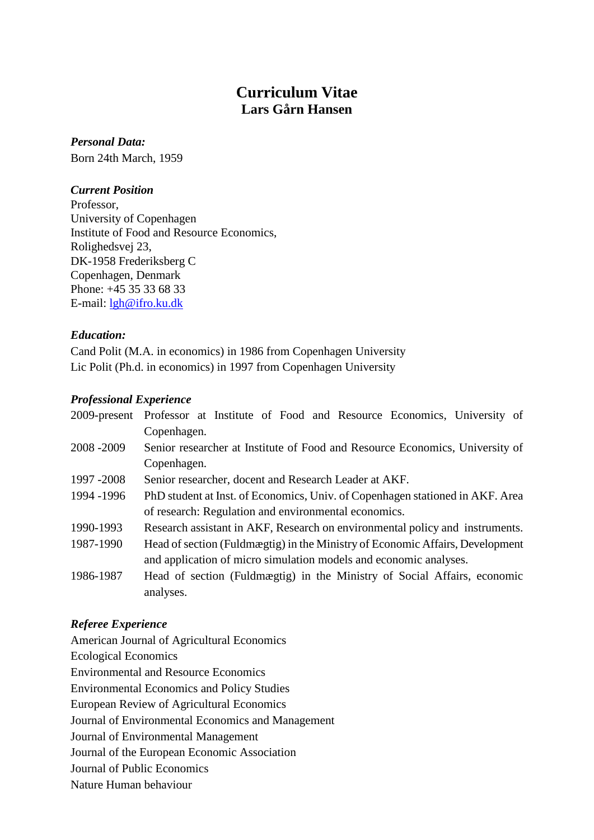# **Curriculum Vitae Lars Gårn Hansen**

*Personal Data:*  Born 24th March, 1959

### *Current Position*

Professor, University of Copenhagen Institute of Food and Resource Economics, Rolighedsvej 23, DK-1958 Frederiksberg C Copenhagen, Denmark Phone: +45 35 33 68 33 E-mail: [lgh@ifro.ku.dk](mailto:lgh@ifro.ku.dk)

#### *Education:*

Cand Polit (M.A. in economics) in 1986 from Copenhagen University Lic Polit (Ph.d. in economics) in 1997 from Copenhagen University

# *Professional Experience*

|             | 2009-present Professor at Institute of Food and Resource Economics, University of     |
|-------------|---------------------------------------------------------------------------------------|
|             | Copenhagen.                                                                           |
| 2008-2009   | Senior researcher at Institute of Food and Resource Economics, University of          |
|             | Copenhagen.                                                                           |
| 1997 - 2008 | Senior researcher, docent and Research Leader at AKF.                                 |
| 1994 - 1996 | PhD student at Inst. of Economics, Univ. of Copenhagen stationed in AKF. Area         |
|             | of research: Regulation and environmental economics.                                  |
| 1990-1993   | Research assistant in AKF, Research on environmental policy and instruments.          |
| 1987-1990   | Head of section (Fuldmægtig) in the Ministry of Economic Affairs, Development         |
|             | and application of micro simulation models and economic analyses.                     |
| 1986-1987   | Head of section (Fuldmægtig) in the Ministry of Social Affairs, economic<br>analyses. |

# *Referee Experience*

American Journal of Agricultural Economics Ecological Economics Environmental and Resource Economics Environmental Economics and Policy Studies European Review of Agricultural Economics Journal of Environmental Economics and Management Journal of Environmental Management Journal of the European Economic Association Journal of Public Economics Nature Human behaviour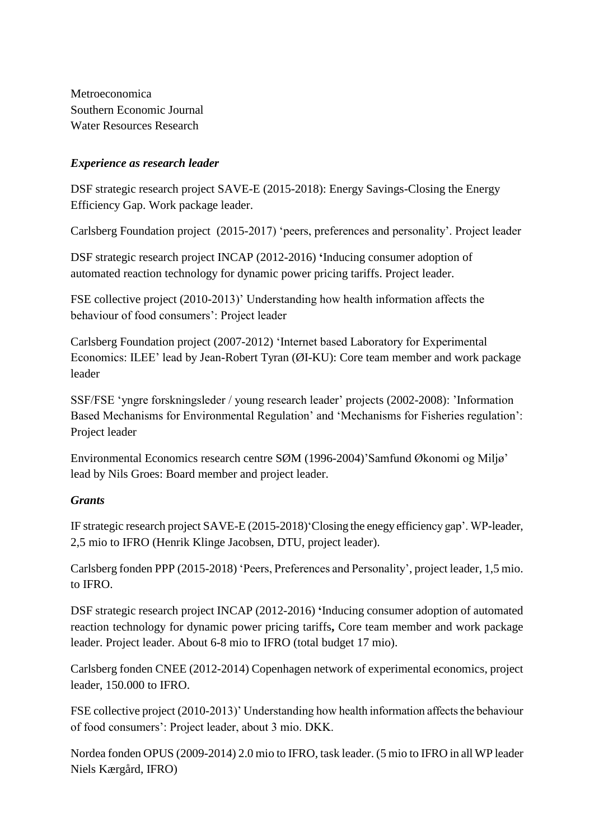Metroeconomica Southern Economic Journal Water Resources Research

# *Experience as research leader*

DSF strategic research project SAVE-E (2015-2018): Energy Savings-Closing the Energy Efficiency Gap. Work package leader.

Carlsberg Foundation project (2015-2017) 'peers, preferences and personality'. Project leader

DSF strategic research project INCAP (2012-2016) **'**Inducing consumer adoption of automated reaction technology for dynamic power pricing tariffs. Project leader.

FSE collective project (2010-2013)' Understanding how health information affects the behaviour of food consumers': Project leader

Carlsberg Foundation project (2007-2012) 'Internet based Laboratory for Experimental Economics: ILEE' lead by Jean-Robert Tyran (ØI-KU): Core team member and work package leader

SSF/FSE 'yngre forskningsleder / young research leader' projects (2002-2008): 'Information Based Mechanisms for Environmental Regulation' and 'Mechanisms for Fisheries regulation': Project leader

Environmental Economics research centre SØM (1996-2004)'Samfund Økonomi og Miljø' lead by Nils Groes: Board member and project leader.

# *Grants*

IF strategic research project SAVE-E (2015-2018)'Closing the enegy efficiency gap'. WP-leader, 2,5 mio to IFRO (Henrik Klinge Jacobsen, DTU, project leader).

Carlsberg fonden PPP (2015-2018) 'Peers, Preferences and Personality', project leader, 1,5 mio. to IFRO.

DSF strategic research project INCAP (2012-2016) **'**Inducing consumer adoption of automated reaction technology for dynamic power pricing tariffs**,** Core team member and work package leader. Project leader. About 6-8 mio to IFRO (total budget 17 mio).

Carlsberg fonden CNEE (2012-2014) Copenhagen network of experimental economics, project leader, 150.000 to IFRO.

FSE collective project (2010-2013)' Understanding how health information affects the behaviour of food consumers': Project leader, about 3 mio. DKK.

Nordea fonden OPUS (2009-2014) 2.0 mio to IFRO, task leader. (5 mio to IFRO in all WP leader Niels Kærgård, IFRO)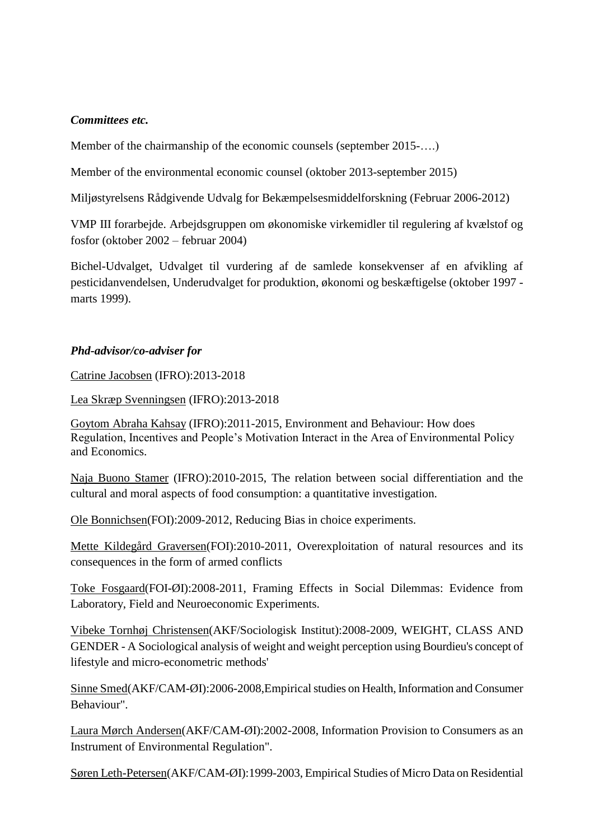# *Committees etc.*

Member of the chairmanship of the economic counsels (september 2015-….)

Member of the environmental economic counsel (oktober 2013-september 2015)

Miljøstyrelsens Rådgivende Udvalg for Bekæmpelsesmiddelforskning (Februar 2006-2012)

VMP III forarbejde. Arbejdsgruppen om økonomiske virkemidler til regulering af kvælstof og fosfor (oktober 2002 – februar 2004)

Bichel-Udvalget, Udvalget til vurdering af de samlede konsekvenser af en afvikling af pesticidanvendelsen, Underudvalget for produktion, økonomi og beskæftigelse (oktober 1997 marts 1999).

# *Phd-advisor/co-adviser for*

Catrine Jacobsen (IFRO):2013-2018

Lea Skræp Svenningsen (IFRO):2013-2018

Goytom Abraha Kahsay (IFRO):2011-2015, Environment and Behaviour: How does Regulation, Incentives and People's Motivation Interact in the Area of Environmental Policy and Economics.

Naja Buono Stamer (IFRO):2010-2015, The relation between social differentiation and the cultural and moral aspects of food consumption: a quantitative investigation.

Ole Bonnichsen(FOI):2009-2012, Reducing Bias in choice experiments.

Mette Kildegård Graversen(FOI):2010-2011, [Overexploitation of natural resources and its](http://www.foi.life.ku.dk/Publikationer/FOI_serier/~/media/Foi/docs/Publikationer/PhD_afhandlinger/2011/FOI_PhD_2011_2_Graversen.ashx)  [consequences in the form of armed conflicts](http://www.foi.life.ku.dk/Publikationer/FOI_serier/~/media/Foi/docs/Publikationer/PhD_afhandlinger/2011/FOI_PhD_2011_2_Graversen.ashx)

Toke Fosgaard(FOI-ØI):2008-2011, Framing Effects in Social Dilemmas: Evidence from Laboratory, Field and Neuroeconomic Experiments.

Vibeke Tornhøj Christensen(AKF/Sociologisk Institut):2008-2009, WEIGHT, CLASS AND GENDER - A Sociological analysis of weight and weight perception using Bourdieu's concept of lifestyle and micro-econometric methods'

Sinne Smed(AKF/CAM-ØI):2006-2008,Empirical studies on Health, Information and Consumer Behaviour".

Laura Mørch Andersen(AKF/CAM-ØI):2002-2008, Information Provision to Consumers as an Instrument of Environmental Regulation".

Søren Leth-Petersen(AKF/CAM-ØI):1999-2003, Empirical Studies of Micro Data on Residential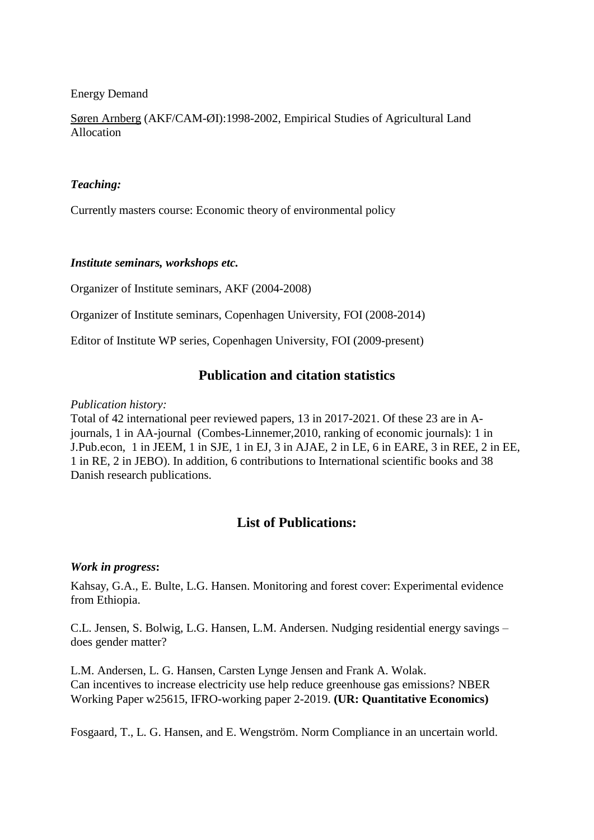Energy Demand

Søren Arnberg (AKF/CAM-ØI):1998-2002, Empirical Studies of Agricultural Land Allocation

#### *Teaching:*

Currently masters course: Economic theory of environmental policy

#### *Institute seminars, workshops etc.*

Organizer of Institute seminars, AKF (2004-2008)

Organizer of Institute seminars, Copenhagen University, FOI (2008-2014)

Editor of Institute WP series, Copenhagen University, FOI (2009-present)

# **Publication and citation statistics**

#### *Publication history:*

Total of 42 international peer reviewed papers, 13 in 2017-2021. Of these 23 are in Ajournals, 1 in AA-journal (Combes-Linnemer,2010, ranking of economic journals): 1 in J.Pub.econ, 1 in JEEM, 1 in SJE, 1 in EJ, 3 in AJAE, 2 in LE, 6 in EARE, 3 in REE, 2 in EE, 1 in RE, 2 in JEBO). In addition, 6 contributions to International scientific books and 38 Danish research publications.

# **List of Publications:**

# *Work in progress***:**

Kahsay, G.A., E. Bulte, L.G. Hansen. Monitoring and forest cover: Experimental evidence from Ethiopia.

C.L. Jensen, S. Bolwig, L.G. Hansen, L.M. Andersen. Nudging residential energy savings – does gender matter?

L.M. Andersen, L. G. Hansen, Carsten Lynge Jensen and Frank A. Wolak. Can incentives to increase electricity use help reduce greenhouse gas emissions? NBER Working Paper w25615, IFRO-working paper 2-2019. **(UR: Quantitative Economics)**

Fosgaard, T., L. G. Hansen, and E. Wengström. Norm Compliance in an uncertain world.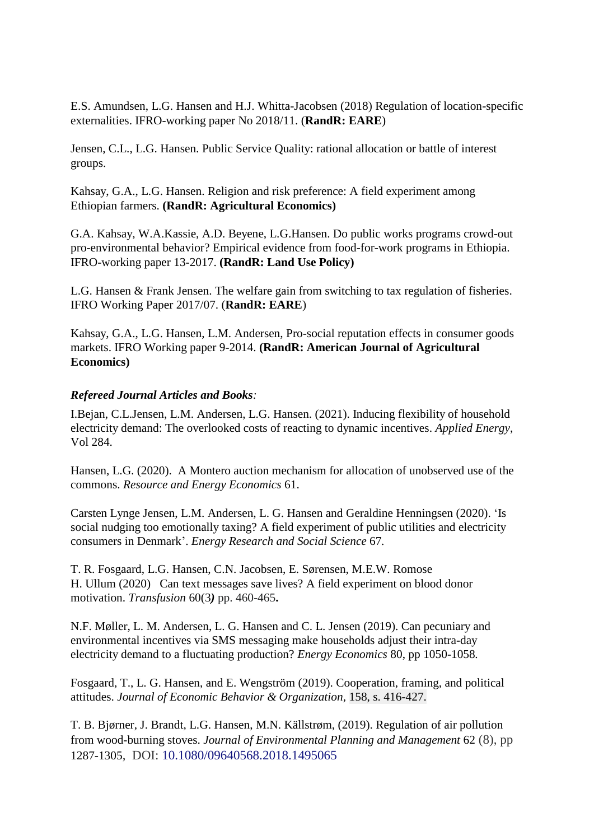E.S. Amundsen, [L.G. Hansen](https://econpapers.repec.org/RAS/pha499.htm) and H.J. Whitta-Jacobsen (2018) Regulation of location-specific externalities. IFRO-working paper No 2018/11. (**RandR: EARE**)

Jensen, C.L., L.G. Hansen. Public Service Quality: rational allocation or battle of interest groups.

Kahsay, G.A., L.G. Hansen. Religion and risk preference: A field experiment among Ethiopian farmers. **(RandR: Agricultural Economics)**

[G.A. Kahsay,](http://ifro.ku.dk/english/staff/?pure=en/persons/369621) W.A.Kassie, A.D. Beyene, [L.G.Hansen.](http://ifro.ku.dk/english/staff/?pure=en/persons/134395) [Do public works programs crowd-out](https://econpapers.repec.org/RePEc:foi:wpaper:2017_13)  [pro-environmental behavior? Empirical evidence from food-for-work](https://econpapers.repec.org/RePEc:foi:wpaper:2017_13) programs in Ethiopia. IFRO-working paper 13-2017. **(RandR: Land Use Policy)**

L.G. Hansen & Frank Jensen. The welfare gain from switching to tax regulation of fisheries. [IFRO Working Paper](http://ideas.repec.org/s/foi/wpaper.html) 2017/07. (**RandR: EARE**)

Kahsay, G.A., L.G. Hansen, L.M. Andersen, Pro-social reputation effects in consumer goods markets. IFRO Working paper 9-2014. **(RandR: American Journal of Agricultural Economics)**

#### *Refereed Journal Articles and Books:*

I.Bejan, C.L.Jensen, L.M. Andersen, L.G. Hansen. (2021). Inducing flexibility of household electricity demand: The overlooked costs of reacting to dynamic incentives. *Applied Energy*, [Vol 284.](https://www.sciencedirect.com/science/journal/03062619/284/supp/C)

Hansen, L.G. (2020). A Montero auction mechanism for allocation of unobserved use of the commons. *Resource and Energy Economics* 61.

Carsten Lynge Jensen, L.M. Andersen, L. G. Hansen and Geraldine Henningsen (2020). 'Is social nudging too emotionally taxing? A field experiment of public utilities and electricity consumers in Denmark'. *Energy Research and Social Science* 67*.*

T. R. Fosgaard, L.G. Hansen, C.N. Jacobsen, E. Sørensen, M.E.W. Romose H. Ullum (2020) Can text messages save lives? A field experiment on blood donor motivation. *Transfusion* 60(3*)* pp. 460-465**.**

N.F. Møller, L. M. Andersen, L. G. Hansen and C. L. Jensen (2019). Can pecuniary and environmental incentives via SMS messaging make households adjust their intra-day electricity demand to a fluctuating production? *Energy Economics* 80, pp 1050-1058*.*

Fosgaard, T., L. G. Hansen, and E. Wengström (2019). Cooperation, framing, and political attitudes. *Journal of Economic Behavior & Organization,* 158, s. 416-427.

T. B. Bjørner, J. Brandt, [L.G. Hansen,](http://ifro.ku.dk/english/staff/?pure=en/persons/134395) M.N. Källstrøm, (2019). [Regulation of air pollution](http://econpapers.repec.org/RePEc:foi:wpaper:2016_11)  [from wood-burning stoves.](http://econpapers.repec.org/RePEc:foi:wpaper:2016_11) *Journal of Environmental Planning and Management* 62 (8), pp 1287-1305, DOI: [10.1080/09640568.2018.1495065](https://doi.org/10.1080/09640568.2018.1495065)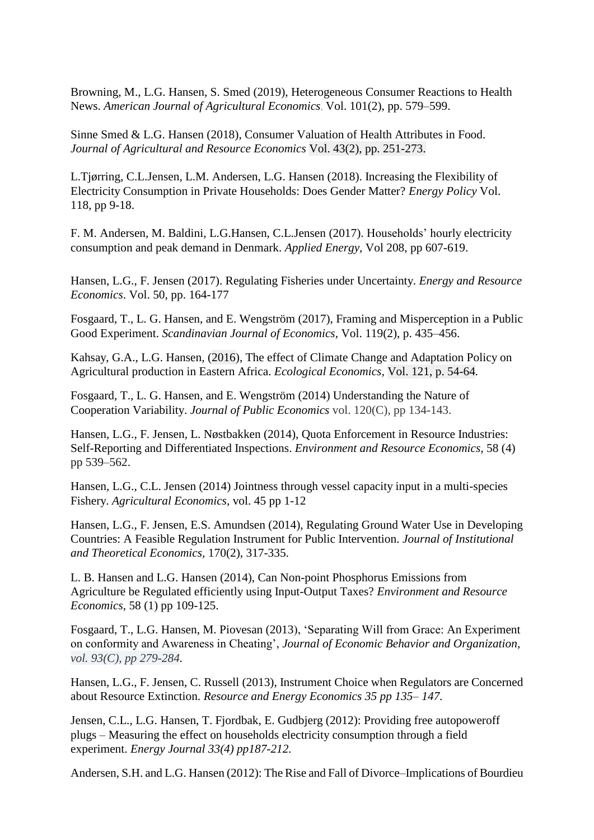Browning, M., L.G. Hansen, S. Smed (2019), Heterogeneous Consumer Reactions to Health News. *American Journal of Agricultural Economics*, Vol. 101(2), pp. 579–599.

Sinne Smed & L.G. Hansen (2018), Consumer Valuation of Health Attributes in Food. *Journal of Agricultural and Resource Economics* Vol. 43(2), pp. 251-273.

L.Tjørring, C.L.Jensen, L.M. Andersen, L.G. Hansen (2018). Increasing the Flexibility of Electricity Consumption in Private Households: Does Gender Matter? *Energy Policy* [Vol.](https://www.sciencedirect.com/science/journal/03014215/118/supp/C)  [118,](https://www.sciencedirect.com/science/journal/03014215/118/supp/C) pp 9-18.

[F. M. Andersen, M. Baldini,](http://www.sciencedirect.com/science/article/pii/S0306261917313776?_rdoc=1&_fmt=high&_origin=gateway&_docanchor=&md5=b8429449ccfc9c30159a5f9aeaa92ffb#!) [L.G.Hansen, C.L.Jensen](http://www.sciencedirect.com/science/article/pii/S0306261917313776?_rdoc=1&_fmt=high&_origin=gateway&_docanchor=&md5=b8429449ccfc9c30159a5f9aeaa92ffb#!) (2017). Households' hourly electricity consumption and peak demand in Denmark. *Applied Energy,* Vol 208, pp 607-619.

Hansen, L.G., F. Jensen (2017). Regulating Fisheries under Uncertainty. *Energy and Resource Economics*. [Vol. 50,](https://www.sciencedirect.com/science/journal/09287655/50/supp/C) pp. 164-177

Fosgaard, T., L. G. Hansen, and E. Wengström (2017), Framing and Misperception in a Public Good Experiment. *Scandinavian Journal of Economics,* Vol. 119(2), p. 435–456.

Kahsay, G.A., L.G. Hansen, (2016), The effect of Climate Change and Adaptation Policy on Agricultural production in Eastern Africa. *Ecological Economics,* Vol. 121, p. 54-64*.*

Fosgaard, T., L. G. Hansen, and E. Wengström (2014) Understanding the Nature of Cooperation Variability. *Journal of Public Economics* vol. 120(C), pp 134-143.

Hansen, L.G., F. Jensen, L. Nøstbakken (2014), [Quota Enforcement in Resource Industries:](http://ideas.repec.org/p/foi/wpaper/2010_10.html)  [Self-Reporting and Differentiated Inspections.](http://ideas.repec.org/p/foi/wpaper/2010_10.html) *Environment and Resource Economics,* 58 (4) pp 539–562.

Hansen, L.G., C.L. Jensen (2014) [Jointness through vessel capacity input in a multi-species](http://ideas.repec.org/p/foi/wpaper/2010_08.html)  [Fishery.](http://ideas.repec.org/p/foi/wpaper/2010_08.html) *Agricultural Economics,* vol. 45 pp 1-12

Hansen, L.G., F. Jensen, E.S. Amundsen (2014), Regulating Ground Water Use in Developing Countries: A Feasible Regulation Instrument for Public Intervention. *Journal of Institutional and Theoretical Economics,* 170(2), 317-335.

L. B. Hansen and L.G. Hansen (2014), Can Non-point Phosphorus Emissions from Agriculture be Regulated efficiently using Input-Output Taxes? *Environment and Resource Economics,* 58 (1) pp 109-125.

Fosgaard, T., L.G. Hansen, M. Piovesan (2013), 'Separating Will from Grace: An Experiment on conformity and Awareness in Cheating', *Journal of Economic Behavior and Organization, vol. 93(C), pp 279-284.*

Hansen, L.G., F. Jensen, C. Russell (2013), Instrument Choice when Regulators are Concerned about Resource Extinction. *Resource and Energy Economics 35 pp 135– 147.*

Jensen, C.L., L.G. Hansen, T. Fjordbak, E. Gudbjerg (2012): Providing free autopoweroff plugs – Measuring the effect on households electricity consumption through a field experiment. *Energy Journal 33(4) pp187-212.*

Andersen, S.H. and L.G. Hansen (2012): The Rise and Fall of Divorce–Implications of Bourdieu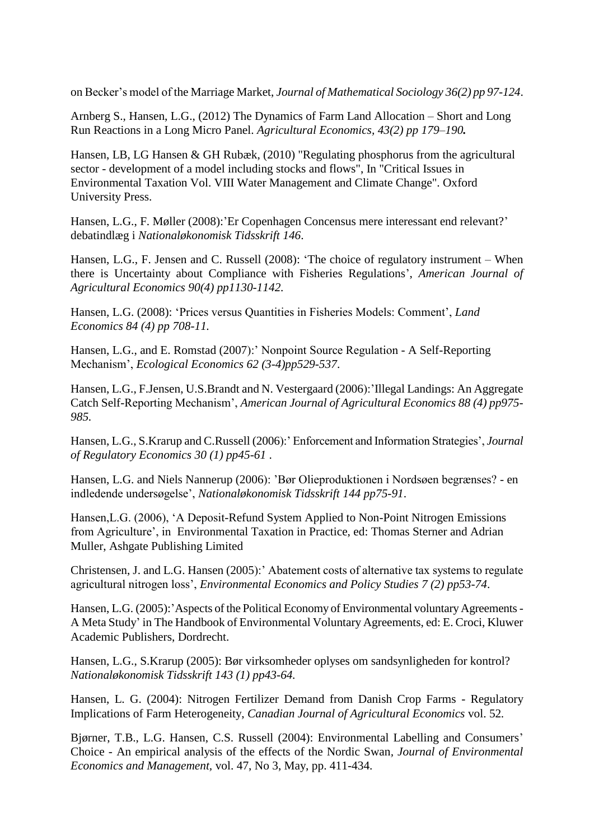on Becker's model of the Marriage Market, *Journal of Mathematical Sociology 36(2) pp 97-124*.

Arnberg S., Hansen, L.G., (2012) [The Dynamics of Farm Land Allocation –](http://ideas.repec.org/p/foi/wpaper/2010_03.html) Short and Long [Run Reactions in a Long Micro Panel.](http://ideas.repec.org/p/foi/wpaper/2010_03.html) *Agricultural Economics, 43(2) pp 179–190.*

Hansen, LB, LG Hansen & GH Rubæk, (2010) "Regulating phosphorus from the agricultural sector - development of a model including stocks and flows", In "Critical Issues in Environmental Taxation Vol. VIII Water Management and Climate Change". Oxford University Press.

Hansen, L.G., F. Møller (2008):'Er Copenhagen Concensus mere interessant end relevant?' debatindlæg i *Nationaløkonomisk Tidsskrift 146*.

Hansen, L.G., F. Jensen and C. Russell (2008): 'The choice of regulatory instrument – When there is Uncertainty about Compliance with Fisheries Regulations', *American Journal of Agricultural Economics 90(4) pp1130-1142.*

Hansen, L.G. (2008): 'Prices versus Quantities in Fisheries Models: Comment', *Land Economics 84 (4) pp 708-11.*

Hansen, L.G., and E. Romstad (2007):' Nonpoint Source Regulation - A Self-Reporting Mechanism', *Ecological Economics 62 (3-4)pp529-537*.

Hansen, L.G., F.Jensen, U.S.Brandt and N. Vestergaard (2006):'Illegal Landings: An Aggregate Catch Self-Reporting Mechanism', *American Journal of Agricultural Economics 88 (4) pp975- 985.*

Hansen, L.G., S.Krarup and C.Russell (2006):' Enforcement and Information Strategies', *Journal of Regulatory Economics 30 (1) pp45-61* .

Hansen, L.G. and Niels Nannerup (2006): 'Bør Olieproduktionen i Nordsøen begrænses? - en indledende undersøgelse', *Nationaløkonomisk Tidsskrift 144 pp75-91*.

Hansen,L.G. (2006), 'A Deposit-Refund System Applied to Non-Point Nitrogen Emissions from Agriculture', in Environmental Taxation in Practice, ed: Thomas Sterner and Adrian Muller, Ashgate Publishing Limited

Christensen, J. and L.G. Hansen (2005):' Abatement costs of alternative tax systems to regulate agricultural nitrogen loss', *Environmental Economics and Policy Studies 7 (2) pp53-74*.

Hansen, L.G. (2005): 'Aspects of the Political Economy of Environmental voluntary Agreements -A Meta Study' in The Handbook of Environmental Voluntary Agreements, ed: E. Croci, Kluwer Academic Publishers, Dordrecht.

Hansen, L.G., S.Krarup (2005): Bør virksomheder oplyses om sandsynligheden for kontrol? *Nationaløkonomisk Tidsskrift 143 (1) pp43-64.*

Hansen, L. G. (2004): Nitrogen Fertilizer Demand from Danish Crop Farms - Regulatory Implications of Farm Heterogeneity, *Canadian Journal of Agricultural Economics* vol. 52*.*

Bjørner, T.B., L.G. Hansen, C.S. Russell (2004): Environmental Labelling and Consumers' Choice - An empirical analysis of the effects of the Nordic Swan*, Journal of Environmental Economics and Management,* vol. 47, No 3, May, pp. 411-434.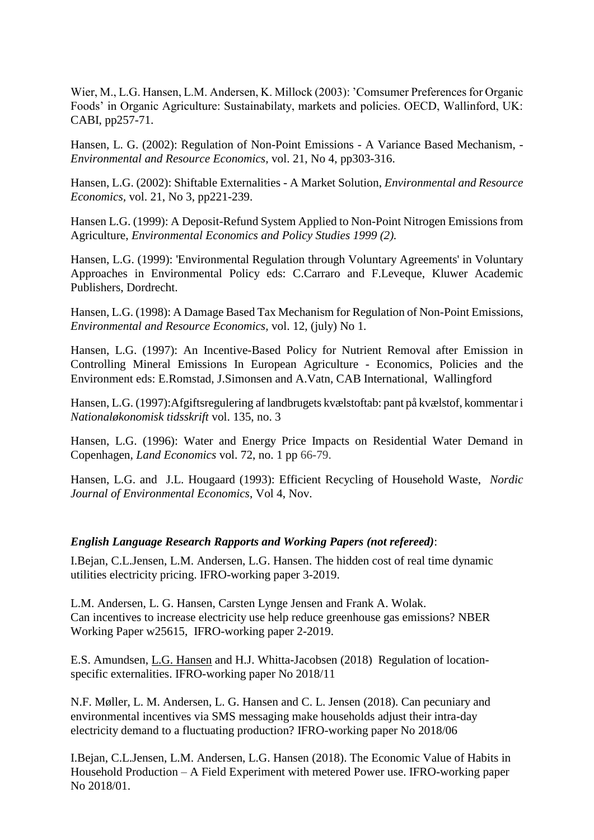Wier, M., L.G. Hansen, L.M. Andersen, K. Millock (2003): 'Comsumer Preferences for Organic Foods' in Organic Agriculture: Sustainabilaty, markets and policies. OECD, Wallinford, UK: CABI, pp257-71.

Hansen, L. G. (2002): Regulation of Non-Point Emissions - A Variance Based Mechanism, *- Environmental and Resource Economics,* vol. 21, No 4, pp303-316.

Hansen, L.G. (2002): Shiftable Externalities - A Market Solution, *Environmental and Resource Economics,* vol. 21, No 3, pp221-239.

Hansen L.G. (1999): A Deposit-Refund System Applied to Non-Point Nitrogen Emissions from Agriculture, *Environmental Economics and Policy Studies 1999 (2).*

Hansen, L.G. (1999): 'Environmental Regulation through Voluntary Agreements' in Voluntary Approaches in Environmental Policy eds: C.Carraro and F.Leveque, Kluwer Academic Publishers, Dordrecht.

Hansen, L.G. (1998): A Damage Based Tax Mechanism for Regulation of Non-Point Emissions, *Environmental and Resource Economics,* vol. 12, (july) No 1*.*

Hansen, L.G. (1997): An Incentive-Based Policy for Nutrient Removal after Emission in Controlling Mineral Emissions In European Agriculture - Economics, Policies and the Environment eds: E.Romstad, J.Simonsen and A.Vatn, CAB International, Wallingford

Hansen, L.G. (1997):Afgiftsregulering af landbrugets kvælstoftab: pant på kvælstof, kommentar i *Nationaløkonomisk tidsskrift* vol. 135, no. 3

Hansen, L.G. (1996): Water and Energy Price Impacts on Residential Water Demand in Copenhagen, *Land Economics* vol. 72, no. 1 pp 66-79.

Hansen, L.G. and J.L. Hougaard (1993): Efficient Recycling of Household Waste, *Nordic Journal of Environmental Economics*, Vol 4, Nov.

#### *English Language Research Rapports and Working Papers (not refereed)*:

I.Bejan, C.L.Jensen, L.M. Andersen, L.G. Hansen. The hidden cost of real time dynamic utilities electricity pricing. IFRO-working paper 3-2019.

L.M. Andersen, L. G. Hansen, Carsten Lynge Jensen and Frank A. Wolak. Can incentives to increase electricity use help reduce greenhouse gas emissions? NBER Working Paper w25615, IFRO-working paper 2-2019.

E.S. Amundsen, L.G. [Hansen](https://econpapers.repec.org/RAS/pha499.htm) and H.J. Whitta-Jacobsen (2018) Regulation of locationspecific externalities. IFRO-working paper No 2018/11

N.F. Møller, L. M. Andersen, L. G. Hansen and C. L. Jensen (2018). Can pecuniary and environmental incentives via SMS messaging make households adjust their intra-day electricity demand to a fluctuating production? IFRO-working paper No 2018/06

I.Bejan, C.L.Jensen, L.M. Andersen, L.G. Hansen (2018). [The Economic Value of Habits in](https://econpapers.repec.org/RePEc:foi:wpaper:2018_01)  Household Production – [A Field Experiment with metered Power use.](https://econpapers.repec.org/RePEc:foi:wpaper:2018_01) IFRO-working paper No 2018/01.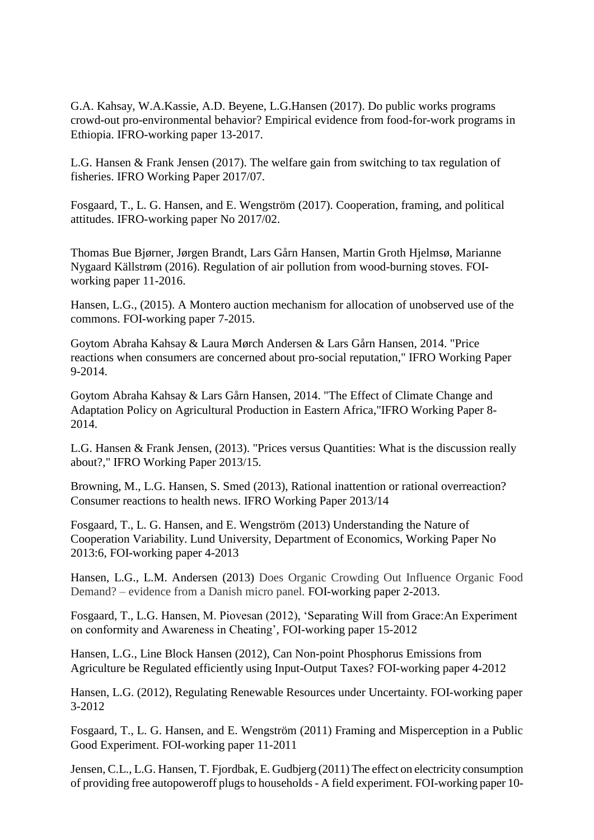[G.A. Kahsay,](http://ifro.ku.dk/english/staff/?pure=en/persons/369621) W.A.Kassie, A.D. Beyene, [L.G.Hansen](http://ifro.ku.dk/english/staff/?pure=en/persons/134395) (2017). [Do public works programs](https://econpapers.repec.org/RePEc:foi:wpaper:2017_13)  [crowd-out pro-environmental behavior? Empirical evidence from food-for-work programs in](https://econpapers.repec.org/RePEc:foi:wpaper:2017_13)  [Ethiopia.](https://econpapers.repec.org/RePEc:foi:wpaper:2017_13) IFRO-working paper 13-2017.

L.G. Hansen & Frank Jensen (2017). The welfare gain from switching to tax regulation of fisheries. [IFRO Working Paper](http://ideas.repec.org/s/foi/wpaper.html) 2017/07.

Fosgaard, T., L. G. Hansen, and E. Wengström (2017). Cooperation, framing, and political attitudes. IFRO-working paper No 2017/02.

Thomas Bue Bjørner, Jørgen Brandt, [Lars Gårn Hansen,](http://ifro.ku.dk/english/staff/?pure=en/persons/134395) Martin Groth Hjelmsø, Marianne Nygaard Källstrøm (2016). [Regulation of air pollution from wood-burning stoves.](http://econpapers.repec.org/RePEc:foi:wpaper:2016_11) FOIworking paper 11-2016.

Hansen, L.G., (2015). A Montero auction mechanism for allocation of unobserved use of the commons. FOI-working paper 7-2015.

Goytom Abraha Kahsay & Laura Mørch Andersen & Lars Gårn Hansen, 2014. ["Price](https://ideas.repec.org/p/foi/wpaper/2014_09.html)  [reactions when consumers are concerned about pro-social reputation,](https://ideas.repec.org/p/foi/wpaper/2014_09.html)" [IFRO Working Paper](https://ideas.repec.org/s/foi/wpaper.html) 9-2014.

Goytom Abraha Kahsay & Lars Gårn Hansen, 2014. ["The Effect of Climate Change and](https://ideas.repec.org/p/foi/wpaper/2014_08.html)  [Adaptation Policy on Agricultural Production in Eastern Africa,](https://ideas.repec.org/p/foi/wpaper/2014_08.html)["IFRO Working Paper](https://ideas.repec.org/s/foi/wpaper.html) 8- 2014.

L.G. Hansen & Frank Jensen, (2013). ["Prices versus Quantities: What is the discussion really](http://ideas.repec.org/p/foi/wpaper/2013_15.html)  [about?,](http://ideas.repec.org/p/foi/wpaper/2013_15.html)" [IFRO Working Paper](http://ideas.repec.org/s/foi/wpaper.html) 2013/15.

Browning, M., L.G. Hansen, S. Smed (2013), Rational inattention or rational overreaction? Consumer reactions to health news. [IFRO Working Paper](http://ideas.repec.org/s/foi/wpaper.html) 2013/14

Fosgaard, T., L. G. Hansen, and E. Wengström (2013) Understanding the Nature of Cooperation Variability. Lund University, Department of Economics, Working Paper No 2013:6, FOI-working paper 4-2013

Hansen, L.G., L.M. Andersen (2013) Does Organic Crowding Out Influence Organic Food Demand? – evidence from a Danish micro panel. FOI-working paper 2-2013.

Fosgaard, T., L.G. Hansen, M. Piovesan (2012), 'Separating Will from Grace:An Experiment on conformity and Awareness in Cheating', FOI-working paper 15-2012

Hansen, L.G., Line Block Hansen (2012), Can Non-point Phosphorus Emissions from Agriculture be Regulated efficiently using Input-Output Taxes? FOI-working paper 4-2012

Hansen, L.G. (2012), Regulating Renewable Resources under Uncertainty. FOI-working paper 3-2012

Fosgaard, T., L. G. Hansen, and E. Wengström (2011) Framing and Misperception in a Public Good Experiment. FOI-working paper 11-2011

Jensen, C.L., L.G. Hansen, T. Fjordbak, E. Gudbjerg (2011) The effect on electricity consumption of providing free autopoweroff plugs to households - A field experiment. FOI-working paper 10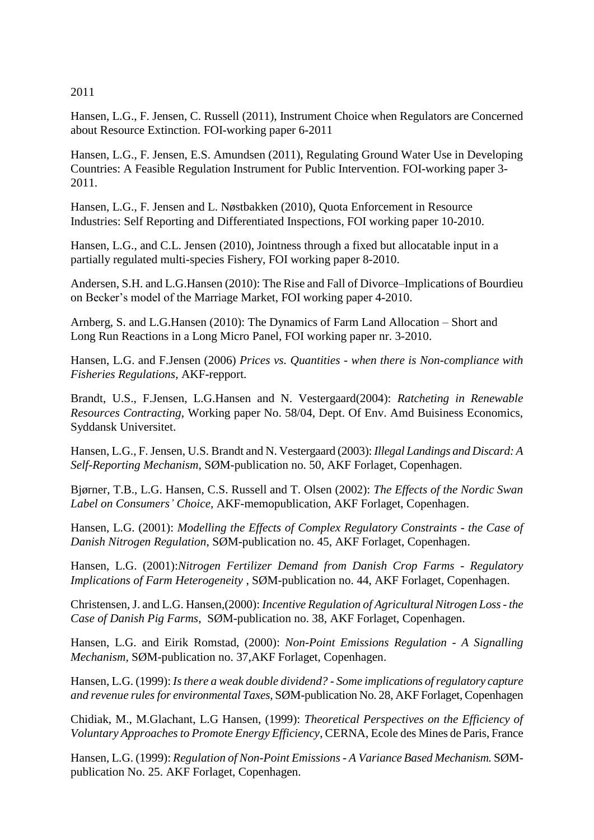2011

Hansen, L.G., F. Jensen, C. Russell (2011), Instrument Choice when Regulators are Concerned about Resource Extinction. FOI-working paper 6-2011

Hansen, L.G., F. Jensen, E.S. Amundsen (2011), Regulating Ground Water Use in Developing Countries: A Feasible Regulation Instrument for Public Intervention. FOI-working paper 3- 2011.

Hansen, L.G., F. Jensen and L. Nøstbakken (2010), Quota Enforcement in Resource Industries: Self Reporting and Differentiated Inspections, FOI working paper 10-2010.

Hansen, L.G., and C.L. Jensen (2010), Jointness through a fixed but allocatable input in a partially regulated multi-species Fishery, FOI working paper 8-2010.

Andersen, S.H. and L.G.Hansen (2010): The Rise and Fall of Divorce–Implications of Bourdieu on Becker's model of the Marriage Market, FOI working paper 4-2010.

Arnberg, S. and L.G.Hansen (2010): The Dynamics of Farm Land Allocation – Short and Long Run Reactions in a Long Micro Panel, FOI working paper nr. 3-2010.

Hansen, L.G. and F.Jensen (2006) *Prices vs. Quantities - when there is Non-compliance with Fisheries Regulations,* AKF-repport.

Brandt, U.S., F.Jensen, L.G.Hansen and N. Vestergaard(2004): *Ratcheting in Renewable Resources Contracting*, Working paper No. 58/04, Dept. Of Env. Amd Buisiness Economics, Syddansk Universitet.

Hansen, L.G., F. Jensen, U.S. Brandt and N. Vestergaard (2003): *Illegal Landings and Discard: A Self-Reporting Mechanism*, SØM-publication no. 50, AKF Forlaget, Copenhagen.

Bjørner, T.B., L.G. Hansen, C.S. Russell and T. Olsen (2002): *The Effects of the Nordic Swan Label on Consumers' Choice,* AKF-memopublication, AKF Forlaget, Copenhagen.

Hansen, L.G. (2001): *Modelling the Effects of Complex Regulatory Constraints - the Case of Danish Nitrogen Regulation*, SØM-publication no. 45, AKF Forlaget, Copenhagen.

Hansen, L.G. (2001):*Nitrogen Fertilizer Demand from Danish Crop Farms - Regulatory Implications of Farm Heterogeneity* , SØM-publication no. 44, AKF Forlaget, Copenhagen.

Christensen, J. and L.G. Hansen,(2000): *Incentive Regulation of Agricultural Nitrogen Loss - the Case of Danish Pig Farms*, SØM-publication no. 38, AKF Forlaget, Copenhagen.

Hansen, L.G. and Eirik Romstad, (2000): *Non-Point Emissions Regulation - A Signalling Mechanism,* SØM-publication no. 37,AKF Forlaget, Copenhagen.

Hansen, L.G. (1999): *Is there a weak double dividend? - Some implications of regulatory capture and revenue rules for environmental Taxes*, SØM-publication No. 28, AKF Forlaget, Copenhagen

Chidiak, M., M.Glachant, L.G Hansen, (1999): *Theoretical Perspectives on the Efficiency of Voluntary Approaches to Promote Energy Efficiency*, CERNA, Ecole des Mines de Paris, France

Hansen, L.G. (1999): *Regulation of Non-Point Emissions - A Variance Based Mechanism.* SØMpublication No. 25. AKF Forlaget, Copenhagen.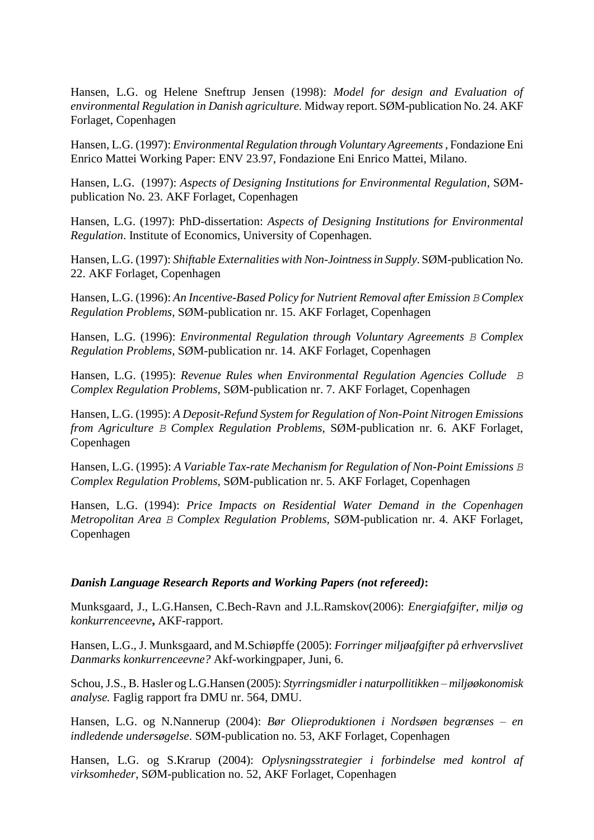Hansen, L.G. og Helene Sneftrup Jensen (1998): *Model for design and Evaluation of environmental Regulation in Danish agriculture.* Midway report. SØM-publication No. 24. AKF Forlaget, Copenhagen

Hansen, L.G. (1997): *Environmental Regulation through Voluntary Agreements*, Fondazione Eni Enrico Mattei Working Paper: ENV 23.97, Fondazione Eni Enrico Mattei, Milano.

Hansen, L.G. (1997): *Aspects of Designing Institutions for Environmental Regulation*, SØMpublication No. 23. AKF Forlaget, Copenhagen

Hansen, L.G. (1997): PhD-dissertation: *Aspects of Designing Institutions for Environmental Regulation*. Institute of Economics, University of Copenhagen.

Hansen, L.G. (1997): *Shiftable Externalities with Non-Jointness in Supply*. SØM-publication No. 22. AKF Forlaget, Copenhagen

Hansen, L.G. (1996): An Incentive-Based Policy for Nutrient Removal after Emission *B* Complex *Regulation Problems*, SØM-publication nr. 15. AKF Forlaget, Copenhagen

Hansen, L.G. (1996): *Environmental Regulation through Voluntary Agreements B Complex Regulation Problems*, SØM-publication nr. 14. AKF Forlaget, Copenhagen

Hansen, L.G. (1995): *Revenue Rules when Environmental Regulation Agencies Collude B Complex Regulation Problems*, SØM-publication nr. 7. AKF Forlaget, Copenhagen

Hansen, L.G. (1995): *A Deposit-Refund System for Regulation of Non-Point Nitrogen Emissions from Agriculture B Complex Regulation Problems*, SØM-publication nr. 6. AKF Forlaget, Copenhagen

Hansen, L.G. (1995): *A Variable Tax-rate Mechanism for Regulation of Non-Point Emissions B Complex Regulation Problems*, SØM-publication nr. 5. AKF Forlaget, Copenhagen

Hansen, L.G. (1994): *Price Impacts on Residential Water Demand in the Copenhagen Metropolitan Area B Complex Regulation Problems*, SØM-publication nr. 4. AKF Forlaget, Copenhagen

#### *Danish Language Research Reports and Working Papers (not refereed)***:**

Munksgaard, J., L.G.Hansen, C.Bech-Ravn and J.L.Ramskov(2006): *Energiafgifter, miljø og konkurrenceevne***,** AKF-rapport.

Hansen, L.G., J. Munksgaard, and M.Schiøpffe (2005): *Forringer miljøafgifter på erhvervslivet Danmarks konkurrenceevne?* Akf-workingpaper, Juni, 6.

Schou, J.S., B. Hasler og L.G.Hansen (2005): *Styrringsmidler i naturpollitikken – miljøøkonomisk analyse.* Faglig rapport fra DMU nr. 564, DMU.

Hansen, L.G. og N.Nannerup (2004): *Bør Olieproduktionen i Nordsøen begrænses – en indledende undersøgelse*. SØM-publication no. 53, AKF Forlaget, Copenhagen

Hansen, L.G. og S.Krarup (2004): *Oplysningsstrategier i forbindelse med kontrol af virksomheder*, SØM-publication no. 52, AKF Forlaget, Copenhagen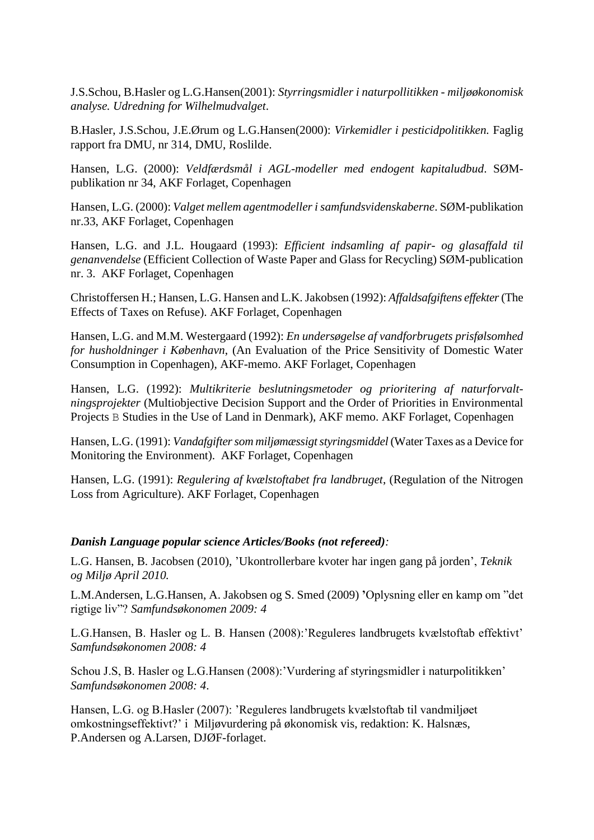J.S.Schou, B.Hasler og L.G.Hansen(2001): *Styrringsmidler i naturpollitikken - miljøøkonomisk analyse. Udredning for Wilhelmudvalget*.

B.Hasler, J.S.Schou, J.E.Ørum og L.G.Hansen(2000): *Virkemidler i pesticidpolitikken.* Faglig rapport fra DMU, nr 314, DMU, Roslilde.

Hansen, L.G. (2000): *Veldfærdsmål i AGL-modeller med endogent kapitaludbud*. SØMpublikation nr 34, AKF Forlaget, Copenhagen

Hansen, L.G. (2000): *Valget mellem agentmodeller i samfundsvidenskaberne*. SØM-publikation nr.33, AKF Forlaget, Copenhagen

Hansen, L.G. and J.L. Hougaard (1993): *Efficient indsamling af papir- og glasaffald til genanvendelse* (Efficient Collection of Waste Paper and Glass for Recycling) SØM-publication nr. 3. AKF Forlaget, Copenhagen

Christoffersen H.; Hansen, L.G. Hansen and L.K. Jakobsen (1992): *Affaldsafgiftens effekter*(The Effects of Taxes on Refuse). AKF Forlaget, Copenhagen

Hansen, L.G. and M.M. Westergaard (1992): *En undersøgelse af vandforbrugets prisfølsomhed for husholdninger i København*, (An Evaluation of the Price Sensitivity of Domestic Water Consumption in Copenhagen), AKF-memo. AKF Forlaget, Copenhagen

Hansen, L.G. (1992): *Multikriterie beslutningsmetoder og prioritering af naturforvaltningsprojekter* (Multiobjective Decision Support and the Order of Priorities in Environmental Projects B Studies in the Use of Land in Denmark), AKF memo. AKF Forlaget, Copenhagen

Hansen, L.G. (1991): *Vandafgifter som miljømæssigt styringsmiddel* (Water Taxes as a Device for Monitoring the Environment). AKF Forlaget, Copenhagen

Hansen, L.G. (1991): *Regulering af kvælstoftabet fra landbruget*, (Regulation of the Nitrogen Loss from Agriculture). AKF Forlaget, Copenhagen

#### *Danish Language popular science Articles/Books (not refereed):*

L.G. Hansen, B. Jacobsen (2010), 'Ukontrollerbare kvoter har ingen gang på jorden', *Teknik og Miljø April 2010.*

L.M.Andersen, L.G.Hansen, A. Jakobsen og S. Smed (2009) **'**Oplysning eller en kamp om "det rigtige liv"? *Samfundsøkonomen 2009: 4*

L.G.Hansen, B. Hasler og L. B. Hansen (2008):'Reguleres landbrugets kvælstoftab effektivt' *Samfundsøkonomen 2008: 4*

Schou J.S, B. Hasler og L.G.Hansen (2008):'Vurdering af styringsmidler i naturpolitikken' *Samfundsøkonomen 2008: 4*.

Hansen, L.G. og B.Hasler (2007): 'Reguleres landbrugets kvælstoftab til vandmiljøet omkostningseffektivt?' i Miljøvurdering på økonomisk vis, redaktion: K. Halsnæs, P.Andersen og A.Larsen, DJØF-forlaget.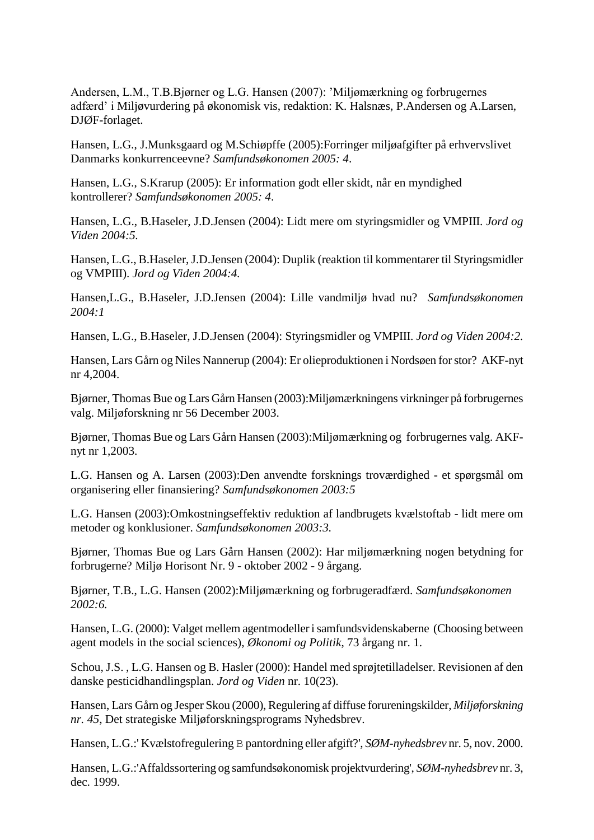Andersen, L.M., T.B.Bjørner og L.G. Hansen (2007): 'Miljømærkning og forbrugernes adfærd' i Miljøvurdering på økonomisk vis, redaktion: K. Halsnæs, P.Andersen og A.Larsen, DJØF-forlaget.

Hansen, L.G., J.Munksgaard og M.Schiøpffe (2005):Forringer miljøafgifter på erhvervslivet Danmarks konkurrenceevne? *Samfundsøkonomen 2005: 4*.

Hansen, L.G., S.Krarup (2005): Er information godt eller skidt, når en myndighed kontrollerer? *Samfundsøkonomen 2005: 4*.

Hansen, L.G., B.Haseler, J.D.Jensen (2004): Lidt mere om styringsmidler og VMPIII. *Jord og Viden 2004:5.*

Hansen, L.G., B.Haseler, J.D.Jensen (2004): Duplik (reaktion til kommentarer til Styringsmidler og VMPIII). *Jord og Viden 2004:4.*

Hansen,L.G., B.Haseler, J.D.Jensen (2004): Lille vandmiljø hvad nu? *Samfundsøkonomen 2004:1*

Hansen, L.G., B.Haseler, J.D.Jensen (2004): Styringsmidler og VMPIII. *Jord og Viden 2004:2.*

Hansen, Lars Gårn og Niles Nannerup (2004): Er olieproduktionen i Nordsøen for stor? AKF-nyt nr 4,2004.

Bjørner, Thomas Bue og Lars Gårn Hansen (2003):Miljømærkningens virkninger på forbrugernes valg. Miljøforskning nr 56 December 2003.

Bjørner, Thomas Bue og Lars Gårn Hansen (2003):Miljømærkning og forbrugernes valg. AKFnyt nr 1,2003.

L.G. Hansen og A. Larsen (2003):Den anvendte forsknings troværdighed - et spørgsmål om organisering eller finansiering? *Samfundsøkonomen 2003:5*

L.G. Hansen (2003):Omkostningseffektiv reduktion af landbrugets kvælstoftab - lidt mere om metoder og konklusioner. *Samfundsøkonomen 2003:3.*

Bjørner, Thomas Bue og Lars Gårn Hansen (2002): Har miljømærkning nogen betydning for forbrugerne? Miljø Horisont Nr. 9 - oktober 2002 - 9 årgang.

Bjørner, T.B., L.G. Hansen (2002):Miljømærkning og forbrugeradfærd. *Samfundsøkonomen 2002:6.*

Hansen, L.G. (2000): Valget mellem agentmodeller i samfundsvidenskaberne (Choosing between agent models in the social sciences), *Økonomi og Politik*, 73 årgang nr. 1.

Schou, J.S. , L.G. Hansen og B. Hasler (2000): Handel med sprøjtetilladelser. Revisionen af den danske pesticidhandlingsplan. *Jord og Viden* nr. 10(23).

Hansen, Lars Gårn og Jesper Skou (2000), Regulering af diffuse forureningskilder, *Miljøforskning nr. 45*, Det strategiske Miljøforskningsprograms Nyhedsbrev.

Hansen, L.G.:' Kvælstofregulering B pantordning eller afgift?', *SØM-nyhedsbrev* nr. 5, nov. 2000.

Hansen, L.G.:'Affaldssortering og samfundsøkonomisk projektvurdering', *SØM-nyhedsbrev* nr. 3, dec. 1999.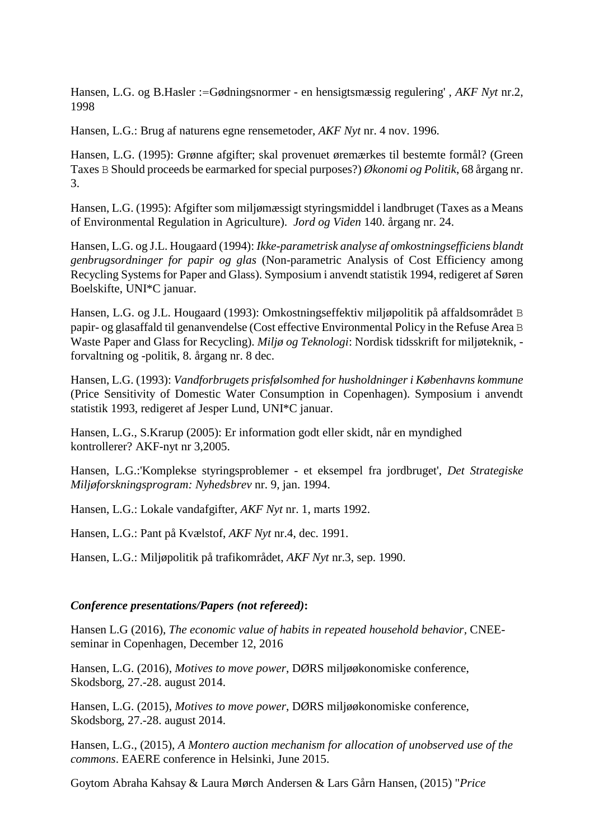Hansen, L.G. og B.Hasler :=Gødningsnormer - en hensigtsmæssig regulering' , *AKF Nyt* nr.2, 1998

Hansen, L.G.: Brug af naturens egne rensemetoder, *AKF Nyt* nr. 4 nov. 1996.

Hansen, L.G. (1995): Grønne afgifter; skal provenuet øremærkes til bestemte formål? (Green Taxes B Should proceeds be earmarked for special purposes?) *Økonomi og Politik*, 68 årgang nr. 3.

Hansen, L.G. (1995): Afgifter som miljømæssigt styringsmiddel i landbruget (Taxes as a Means of Environmental Regulation in Agriculture). *Jord og Viden* 140. årgang nr. 24.

Hansen, L.G. og J.L. Hougaard (1994): *Ikke-parametrisk analyse af omkostningsefficiens blandt genbrugsordninger for papir og glas* (Non-parametric Analysis of Cost Efficiency among Recycling Systems for Paper and Glass). Symposium i anvendt statistik 1994, redigeret af Søren Boelskifte, UNI\*C januar.

Hansen, L.G. og J.L. Hougaard (1993): Omkostningseffektiv miljøpolitik på affaldsområdet B papir- og glasaffald til genanvendelse (Cost effective Environmental Policy in the Refuse Area B Waste Paper and Glass for Recycling). *Miljø og Teknologi*: Nordisk tidsskrift for miljøteknik, forvaltning og -politik, 8. årgang nr. 8 dec.

Hansen, L.G. (1993): *Vandforbrugets prisfølsomhed for husholdninger i Københavns kommune* (Price Sensitivity of Domestic Water Consumption in Copenhagen). Symposium i anvendt statistik 1993, redigeret af Jesper Lund, UNI\*C januar.

Hansen, L.G., S.Krarup (2005): Er information godt eller skidt, når en myndighed kontrollerer? AKF-nyt nr 3,2005.

Hansen, L.G.:'Komplekse styringsproblemer - et eksempel fra jordbruget', *Det Strategiske Miljøforskningsprogram: Nyhedsbrev* nr. 9, jan. 1994.

Hansen, L.G.: Lokale vandafgifter, *AKF Nyt* nr. 1, marts 1992.

Hansen, L.G.: Pant på Kvælstof, *AKF Nyt* nr.4, dec. 1991.

Hansen, L.G.: Miljøpolitik på trafikområdet, *AKF Nyt* nr.3, sep. 1990.

# *Conference presentations/Papers (not refereed)***:**

Hansen L.G (2016), *The economic value of habits in repeated household behavior,* CNEEseminar in Copenhagen, December 12, 2016

Hansen, L.G. (2016), *Motives to move power*, DØRS miljøøkonomiske conference, Skodsborg, 27.-28. august 2014.

Hansen, L.G. (2015), *Motives to move power*, DØRS miljøøkonomiske conference, Skodsborg, 27.-28. august 2014.

Hansen, L.G., (2015), *A Montero auction mechanism for allocation of unobserved use of the commons*. EAERE conference in Helsinki, June 2015.

Goytom Abraha Kahsay & Laura Mørch Andersen & Lars Gårn Hansen, (2015) "*[Price](https://ideas.repec.org/p/foi/wpaper/2014_09.html)*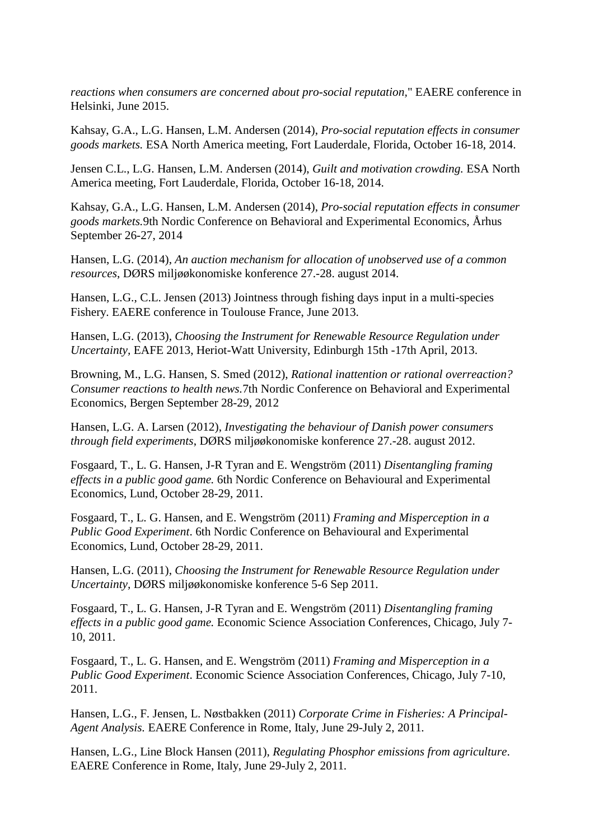*[reactions when consumers are concerned about pro-social reputation,](https://ideas.repec.org/p/foi/wpaper/2014_09.html)*" EAERE conference in Helsinki, June 2015.

Kahsay, G.A., L.G. Hansen, L.M. Andersen (2014), *Pro-social reputation effects in consumer goods markets.* ESA North America meeting, Fort Lauderdale, Florida, October 16-18, 2014.

Jensen C.L., L.G. Hansen, L.M. Andersen (2014), *Guilt and motivation crowding.* ESA North America meeting, Fort Lauderdale, Florida, October 16-18, 2014.

Kahsay, G.A., L.G. Hansen, L.M. Andersen (2014), *Pro-social reputation effects in consumer goods markets.*9th Nordic Conference on Behavioral and Experimental Economics, Århus September 26-27, 2014

Hansen, L.G. (2014), *An auction mechanism for allocation of unobserved use of a common resources*, DØRS miljøøkonomiske konference 27.-28. august 2014.

Hansen, L.G., C.L. Jensen (2013) [Jointness through fishing days input in a multi-species](http://ideas.repec.org/p/foi/wpaper/2010_08.html)  [Fishery.](http://ideas.repec.org/p/foi/wpaper/2010_08.html) EAERE conference in Toulouse France, June 2013.

Hansen, L.G. (2013), *Choosing the Instrument for Renewable Resource Regulation under Uncertainty,* EAFE 2013, Heriot-Watt University, Edinburgh 15th -17th April, 2013.

Browning, M., L.G. Hansen, S. Smed (2012), *Rational inattention or rational overreaction? Consumer reactions to health news.*7th Nordic Conference on Behavioral and Experimental Economics, Bergen September 28-29, 2012

Hansen, L.G. A. Larsen (2012), *[Investigating the behaviour of Danish power consumers](http://www.dors.dk/graphics/Synkron-Library/Konference%202012/Abstracts/3.%20session%20s%F8jlesalen/G%E5rn_Hansen_Investigating%20the%20behaviour%20of%20Danish%20Power%20Consumers%20through%20Field%20Experimentsx.pdf)  [through field experiments](http://www.dors.dk/graphics/Synkron-Library/Konference%202012/Abstracts/3.%20session%20s%F8jlesalen/G%E5rn_Hansen_Investigating%20the%20behaviour%20of%20Danish%20Power%20Consumers%20through%20Field%20Experimentsx.pdf)*, DØRS miljøøkonomiske konference 27.-28. august 2012.

Fosgaard, T., L. G. Hansen, J-R Tyran and E. Wengström (2011) *Disentangling framing effects in a public good game.* 6th Nordic Conference on Behavioural and Experimental Economics, Lund, October 28-29, 2011.

Fosgaard, T., L. G. Hansen, and E. Wengström (2011) *Framing and Misperception in a Public Good Experiment*. 6th Nordic Conference on Behavioural and Experimental Economics, Lund, October 28-29, 2011.

Hansen, L.G. (2011), *Choosing the Instrument for Renewable Resource Regulation under Uncertainty,* DØRS miljøøkonomiske konference 5-6 Sep 2011.

Fosgaard, T., L. G. Hansen, J-R Tyran and E. Wengström (2011) *Disentangling framing effects in a public good game.* Economic Science Association Conferences, Chicago, July 7- 10, 2011.

Fosgaard, T., L. G. Hansen, and E. Wengström (2011) *Framing and Misperception in a Public Good Experiment*. Economic Science Association Conferences, Chicago, July 7-10, 2011.

Hansen, L.G., F. Jensen, L. Nøstbakken (2011) *Corporate Crime in Fisheries: A Principal-Agent Analysis.* EAERE Conference in Rome, Italy, June 29-July 2, 2011*.*

Hansen, L.G., Line Block Hansen (2011), *Regulating Phosphor emissions from agriculture*. EAERE Conference in Rome, Italy, June 29-July 2, 2011*.*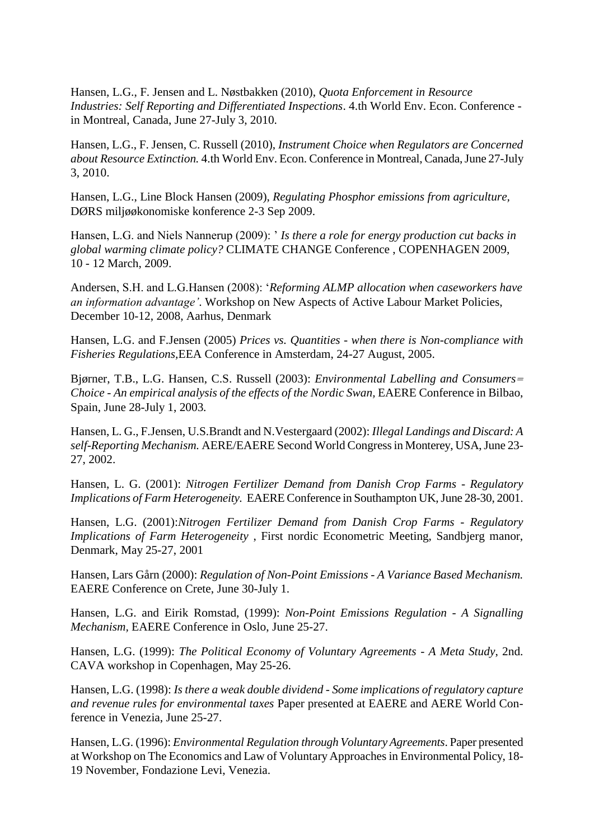Hansen, L.G., F. Jensen and L. Nøstbakken (2010), *Quota Enforcement in Resource Industries: Self Reporting and Differentiated Inspections*. 4.th World Env. Econ. Conference in Montreal, Canada, June 27-July 3, 2010.

Hansen, L.G., F. Jensen, C. Russell (2010), *Instrument Choice when Regulators are Concerned about Resource Extinction.* 4.th World Env. Econ. Conference in Montreal, Canada, June 27-July 3, 2010.

Hansen, L.G., Line Block Hansen (2009), *Regulating Phosphor emissions from agriculture,* DØRS miljøøkonomiske konference 2-3 Sep 2009.

Hansen, L.G. and Niels Nannerup (2009): ' *Is there a role for energy production cut backs in global warming climate policy?* CLIMATE CHANGE Conference , COPENHAGEN 2009, 10 - 12 March, 2009.

Andersen, S.H. and L.G.Hansen (2008): '*Reforming ALMP allocation when caseworkers have an information advantage'*. Workshop on New Aspects of Active Labour Market Policies, December 10-12, 2008, Aarhus, Denmark

Hansen, L.G. and F.Jensen (2005) *Prices vs. Quantities - when there is Non-compliance with Fisheries Regulations,*EEA Conference in Amsterdam, 24-27 August, 2005.

Bjørner, T.B., L.G. Hansen, C.S. Russell (2003): *Environmental Labelling and Consumers= Choice - An empirical analysis of the effects of the Nordic Swan, EAERE Conference in Bilbao,* Spain, June 28-July 1, 2003*.*

Hansen, L. G., F.Jensen, U.S.Brandt and N.Vestergaard (2002): *Illegal Landings and Discard: A self-Reporting Mechanism.* AERE/EAERE Second World Congress in Monterey, USA, June 23- 27, 2002.

Hansen, L. G. (2001): *Nitrogen Fertilizer Demand from Danish Crop Farms - Regulatory Implications of Farm Heterogeneity.* EAERE Conference in Southampton UK, June 28-30, 2001.

Hansen, L.G. (2001):*Nitrogen Fertilizer Demand from Danish Crop Farms - Regulatory Implications of Farm Heterogeneity* , First nordic Econometric Meeting, Sandbjerg manor, Denmark, May 25-27, 2001

Hansen, Lars Gårn (2000): *Regulation of Non-Point Emissions - A Variance Based Mechanism.*  EAERE Conference on Crete, June 30-July 1.

Hansen, L.G. and Eirik Romstad, (1999): *Non-Point Emissions Regulation - A Signalling Mechanism,* EAERE Conference in Oslo, June 25-27.

Hansen, L.G. (1999): *The Political Economy of Voluntary Agreements - A Meta Study*, 2nd. CAVA workshop in Copenhagen, May 25-26.

Hansen, L.G. (1998): *Is there a weak double dividend - Some implications of regulatory capture and revenue rules for environmental taxes* Paper presented at EAERE and AERE World Conference in Venezia, June 25-27.

Hansen, L.G. (1996): *Environmental Regulation through Voluntary Agreements*. Paper presented at Workshop on The Economics and Law of Voluntary Approaches in Environmental Policy, 18- 19 November, Fondazione Levi, Venezia.